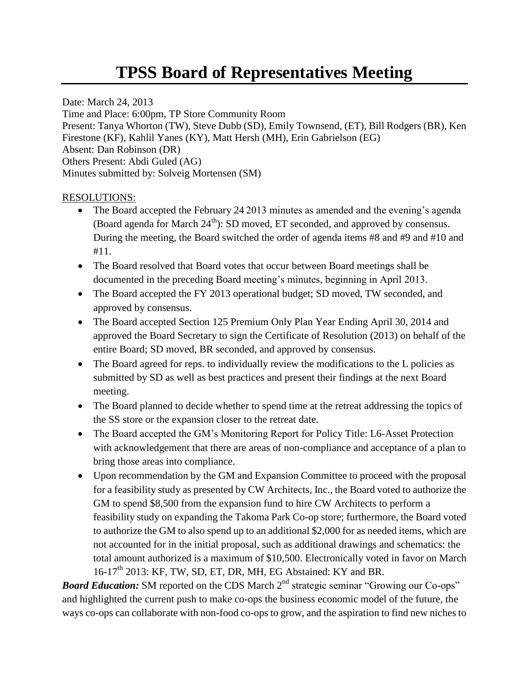## **TPSS Board of Representatives Meeting**

Date: March 24, 2013 Time and Place: 6:00pm, TP Store Community Room Present: Tanya Whorton (TW), Steve Dubb (SD), Emily Townsend, (ET), Bill Rodgers (BR), Ken Firestone (KF), Kahlil Yanes (KY), Matt Hersh (MH), Erin Gabrielson (EG) Absent: Dan Robinson (DR) Others Present: Abdi Guled (AG) Minutes submitted by: Solveig Mortensen (SM)

## RESOLUTIONS:

- The Board accepted the February 24 2013 minutes as amended and the evening's agenda (Board agenda for March  $24<sup>th</sup>$ ): SD moved, ET seconded, and approved by consensus. During the meeting, the Board switched the order of agenda items #8 and #9 and #10 and #11.
- The Board resolved that Board votes that occur between Board meetings shall be documented in the preceding Board meeting's minutes, beginning in April 2013.
- The Board accepted the FY 2013 operational budget; SD moved, TW seconded, and approved by consensus.
- The Board accepted Section 125 Premium Only Plan Year Ending April 30, 2014 and approved the Board Secretary to sign the Certificate of Resolution (2013) on behalf of the entire Board; SD moved, BR seconded, and approved by consensus.
- The Board agreed for reps. to individually review the modifications to the L policies as submitted by SD as well as best practices and present their findings at the next Board meeting.
- The Board planned to decide whether to spend time at the retreat addressing the topics of the SS store or the expansion closer to the retreat date.
- The Board accepted the GM's Monitoring Report for Policy Title: L6-Asset Protection with acknowledgement that there are areas of non-compliance and acceptance of a plan to bring those areas into compliance.
- Upon recommendation by the GM and Expansion Committee to proceed with the proposal for a feasibility study as presented by CW Architects, Inc., the Board voted to authorize the GM to spend \$8,500 from the expansion fund to hire CW Architects to perform a feasibility study on expanding the Takoma Park Co-op store; furthermore, the Board voted to authorize the GM to also spend up to an additional \$2,000 for as needed items, which are not accounted for in the initial proposal, such as additional drawings and schematics: the total amount authorized is a maximum of \$10,500. Electronically voted in favor on March  $16-17<sup>th</sup>$  2013: KF, TW, SD, ET, DR, MH, EG Abstained: KY and BR.

**Board Education:** SM reported on the CDS March 2<sup>nd</sup> strategic seminar "Growing our Co-ops" and highlighted the current push to make co-ops the business economic model of the future, the ways co-ops can collaborate with non-food co-ops to grow, and the aspiration to find new niches to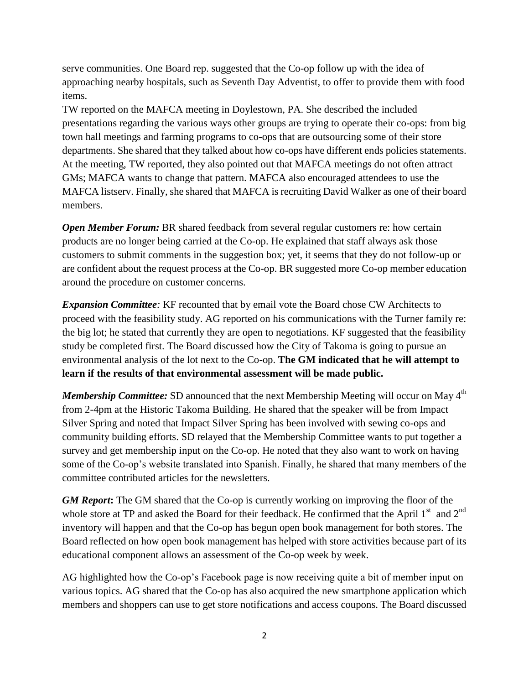serve communities. One Board rep. suggested that the Co-op follow up with the idea of approaching nearby hospitals, such as Seventh Day Adventist, to offer to provide them with food items.

TW reported on the MAFCA meeting in Doylestown, PA. She described the included presentations regarding the various ways other groups are trying to operate their co-ops: from big town hall meetings and farming programs to co-ops that are outsourcing some of their store departments. She shared that they talked about how co-ops have different ends policies statements. At the meeting, TW reported, they also pointed out that MAFCA meetings do not often attract GMs; MAFCA wants to change that pattern. MAFCA also encouraged attendees to use the MAFCA listserv. Finally, she shared that MAFCA is recruiting David Walker as one of their board members.

**Open Member Forum:** BR shared feedback from several regular customers re: how certain products are no longer being carried at the Co-op. He explained that staff always ask those customers to submit comments in the suggestion box; yet, it seems that they do not follow-up or are confident about the request process at the Co-op. BR suggested more Co-op member education around the procedure on customer concerns.

*Expansion Committee:* KF recounted that by email vote the Board chose CW Architects to proceed with the feasibility study. AG reported on his communications with the Turner family re: the big lot; he stated that currently they are open to negotiations. KF suggested that the feasibility study be completed first. The Board discussed how the City of Takoma is going to pursue an environmental analysis of the lot next to the Co-op. **The GM indicated that he will attempt to learn if the results of that environmental assessment will be made public.**

*Membership Committee:* SD announced that the next Membership Meeting will occur on May 4<sup>th</sup> from 2-4pm at the Historic Takoma Building. He shared that the speaker will be from Impact Silver Spring and noted that Impact Silver Spring has been involved with sewing co-ops and community building efforts. SD relayed that the Membership Committee wants to put together a survey and get membership input on the Co-op. He noted that they also want to work on having some of the Co-op's website translated into Spanish. Finally, he shared that many members of the committee contributed articles for the newsletters.

*GM Report***:** The GM shared that the Co-op is currently working on improving the floor of the whole store at TP and asked the Board for their feedback. He confirmed that the April  $1<sup>st</sup>$  and  $2<sup>nd</sup>$ inventory will happen and that the Co-op has begun open book management for both stores. The Board reflected on how open book management has helped with store activities because part of its educational component allows an assessment of the Co-op week by week.

AG highlighted how the Co-op's Facebook page is now receiving quite a bit of member input on various topics. AG shared that the Co-op has also acquired the new smartphone application which members and shoppers can use to get store notifications and access coupons. The Board discussed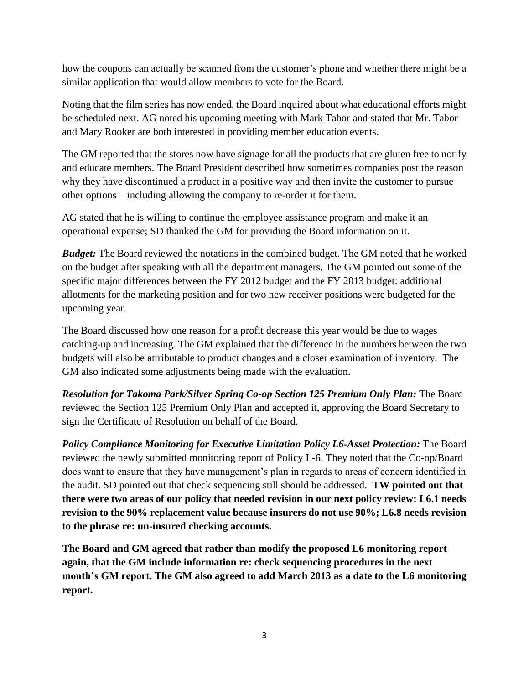how the coupons can actually be scanned from the customer's phone and whether there might be a similar application that would allow members to vote for the Board.

Noting that the film series has now ended, the Board inquired about what educational efforts might be scheduled next. AG noted his upcoming meeting with Mark Tabor and stated that Mr. Tabor and Mary Rooker are both interested in providing member education events.

The GM reported that the stores now have signage for all the products that are gluten free to notify and educate members. The Board President described how sometimes companies post the reason why they have discontinued a product in a positive way and then invite the customer to pursue other options—including allowing the company to re-order it for them.

AG stated that he is willing to continue the employee assistance program and make it an operational expense; SD thanked the GM for providing the Board information on it.

*Budget:* The Board reviewed the notations in the combined budget. The GM noted that he worked on the budget after speaking with all the department managers. The GM pointed out some of the specific major differences between the FY 2012 budget and the FY 2013 budget: additional allotments for the marketing position and for two new receiver positions were budgeted for the upcoming year.

The Board discussed how one reason for a profit decrease this year would be due to wages catching-up and increasing. The GM explained that the difference in the numbers between the two budgets will also be attributable to product changes and a closer examination of inventory. The GM also indicated some adjustments being made with the evaluation.

*Resolution for Takoma Park/Silver Spring Co-op Section 125 Premium Only Plan:* The Board reviewed the Section 125 Premium Only Plan and accepted it, approving the Board Secretary to sign the Certificate of Resolution on behalf of the Board.

*Policy Compliance Monitoring for Executive Limitation Policy L6-Asset Protection:* The Board reviewed the newly submitted monitoring report of Policy L-6. They noted that the Co-op/Board does want to ensure that they have management's plan in regards to areas of concern identified in the audit. SD pointed out that check sequencing still should be addressed. **TW pointed out that there were two areas of our policy that needed revision in our next policy review: L6.1 needs revision to the 90% replacement value because insurers do not use 90%; L6.8 needs revision to the phrase re: un-insured checking accounts.**

**The Board and GM agreed that rather than modify the proposed L6 monitoring report again, that the GM include information re: check sequencing procedures in the next month's GM report**. **The GM also agreed to add March 2013 as a date to the L6 monitoring report.**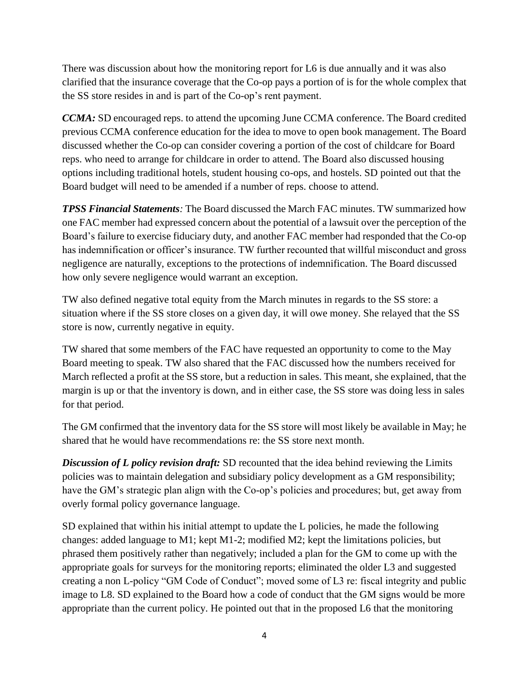There was discussion about how the monitoring report for L6 is due annually and it was also clarified that the insurance coverage that the Co-op pays a portion of is for the whole complex that the SS store resides in and is part of the Co-op's rent payment.

*CCMA:* SD encouraged reps. to attend the upcoming June CCMA conference. The Board credited previous CCMA conference education for the idea to move to open book management. The Board discussed whether the Co-op can consider covering a portion of the cost of childcare for Board reps. who need to arrange for childcare in order to attend. The Board also discussed housing options including traditional hotels, student housing co-ops, and hostels. SD pointed out that the Board budget will need to be amended if a number of reps. choose to attend.

*TPSS Financial Statements:* The Board discussed the March FAC minutes. TW summarized how one FAC member had expressed concern about the potential of a lawsuit over the perception of the Board's failure to exercise fiduciary duty, and another FAC member had responded that the Co-op has indemnification or officer's insurance. TW further recounted that willful misconduct and gross negligence are naturally, exceptions to the protections of indemnification. The Board discussed how only severe negligence would warrant an exception.

TW also defined negative total equity from the March minutes in regards to the SS store: a situation where if the SS store closes on a given day, it will owe money. She relayed that the SS store is now, currently negative in equity.

TW shared that some members of the FAC have requested an opportunity to come to the May Board meeting to speak. TW also shared that the FAC discussed how the numbers received for March reflected a profit at the SS store, but a reduction in sales. This meant, she explained, that the margin is up or that the inventory is down, and in either case, the SS store was doing less in sales for that period.

The GM confirmed that the inventory data for the SS store will most likely be available in May; he shared that he would have recommendations re: the SS store next month.

*Discussion of L policy revision draft:* SD recounted that the idea behind reviewing the Limits policies was to maintain delegation and subsidiary policy development as a GM responsibility; have the GM's strategic plan align with the Co-op's policies and procedures; but, get away from overly formal policy governance language.

SD explained that within his initial attempt to update the L policies, he made the following changes: added language to M1; kept M1-2; modified M2; kept the limitations policies, but phrased them positively rather than negatively; included a plan for the GM to come up with the appropriate goals for surveys for the monitoring reports; eliminated the older L3 and suggested creating a non L-policy "GM Code of Conduct"; moved some of L3 re: fiscal integrity and public image to L8. SD explained to the Board how a code of conduct that the GM signs would be more appropriate than the current policy. He pointed out that in the proposed L6 that the monitoring